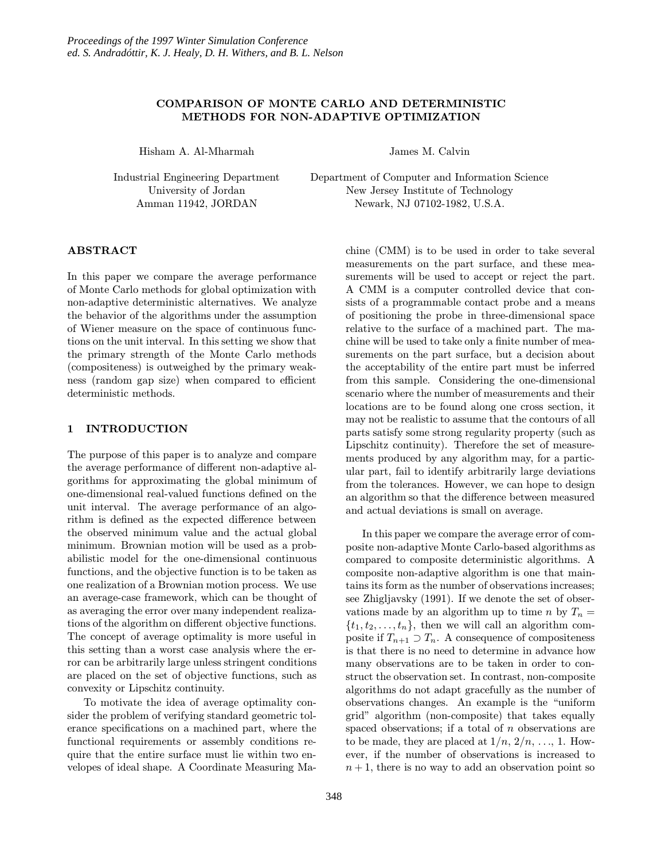# COMPARISON OF MONTE CARLO AND DETERMINISTIC METHODS FOR NON-ADAPTIVE OPTIMIZATION

Hisham A. Al-Mharmah

Industrial Engineering Department University of Jordan Amman 11942, JORDAN

James M. Calvin

Department of Computer and Information Science New Jersey Institute of Technology Newark, NJ 07102-1982, U.S.A.

# ABSTRACT

In this paper we compare the average performance of Monte Carlo methods for global optimization with non-adaptive deterministic alternatives. We analyze the behavior of the algorithms under the assumption of Wiener measure on the space of continuous functions on the unit interval. In this setting we show that the primary strength of the Monte Carlo methods (compositeness) is outweighed by the primary weakness (random gap size) when compared to efficient deterministic methods.

### 1 INTRODUCTION

The purpose of this paper is to analyze and compare the average performance of different non-adaptive algorithms for approximating the global minimum of one-dimensional real-valued functions defined on the unit interval. The average performance of an algorithm is defined as the expected difference between the observed minimum value and the actual global minimum. Brownian motion will be used as a probabilistic model for the one-dimensional continuous functions, and the objective function is to be taken as one realization of a Brownian motion process. We use an average-case framework, which can be thought of as averaging the error over many independent realizations of the algorithm on different objective functions. The concept of average optimality is more useful in this setting than a worst case analysis where the error can be arbitrarily large unless stringent conditions are placed on the set of objective functions, such as convexity or Lipschitz continuity.

To motivate the idea of average optimality consider the problem of verifying standard geometric tolerance specifications on a machined part, where the functional requirements or assembly conditions require that the entire surface must lie within two envelopes of ideal shape. A Coordinate Measuring Machine (CMM) is to be used in order to take several measurements on the part surface, and these measurements will be used to accept or reject the part. A CMM is a computer controlled device that consists of a programmable contact probe and a means of positioning the probe in three-dimensional space relative to the surface of a machined part. The machine will be used to take only a finite number of measurements on the part surface, but a decision about the acceptability of the entire part must be inferred from this sample. Considering the one-dimensional scenario where the number of measurements and their locations are to be found along one cross section, it may not be realistic to assume that the contours of all parts satisfy some strong regularity property (such as Lipschitz continuity). Therefore the set of measurements produced by any algorithm may, for a particular part, fail to identify arbitrarily large deviations from the tolerances. However, we can hope to design an algorithm so that the difference between measured and actual deviations is small on average.

In this paper we compare the average error of composite non-adaptive Monte Carlo-based algorithms as compared to composite deterministic algorithms. A composite non-adaptive algorithm is one that maintains its form as the number of observations increases; see Zhigljavsky (1991). If we denote the set of observations made by an algorithm up to time n by  $T_n =$  $\{t_1, t_2, \ldots, t_n\}$ , then we will call an algorithm composite if  $T_{n+1} \supset T_n$ . A consequence of compositeness is that there is no need to determine in advance how many observations are to be taken in order to construct the observation set. In contrast, non-composite algorithms do not adapt gracefully as the number of observations changes. An example is the "uniform grid" algorithm (non-composite) that takes equally spaced observations; if a total of  $n$  observations are to be made, they are placed at  $1/n$ ,  $2/n$ , ..., 1. However, if the number of observations is increased to  $n+1$ , there is no way to add an observation point so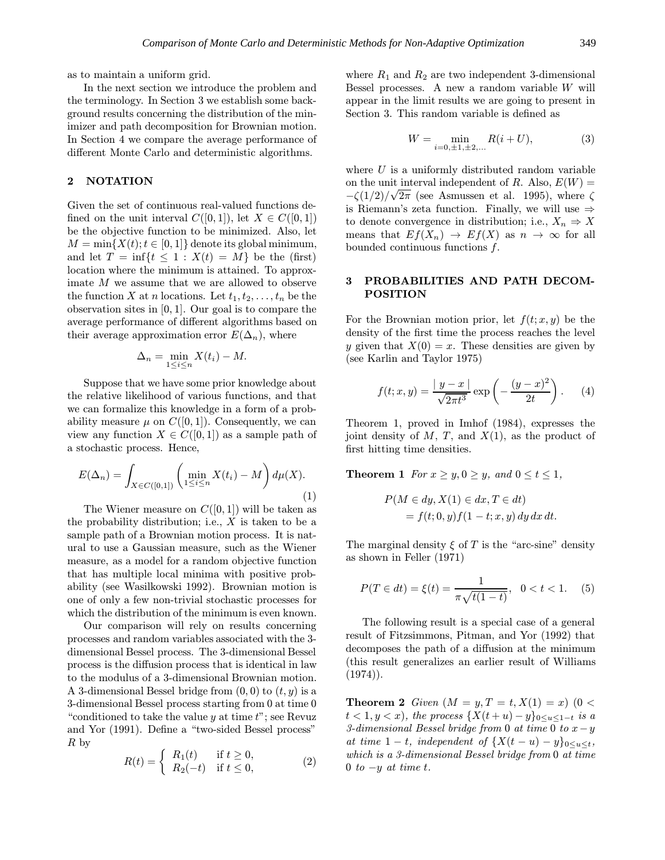as to maintain a uniform grid.

In the next section we introduce the problem and the terminology. In Section 3 we establish some background results concerning the distribution of the minimizer and path decomposition for Brownian motion. In Section 4 we compare the average performance of different Monte Carlo and deterministic algorithms.

#### 2 NOTATION

Given the set of continuous real-valued functions defined on the unit interval  $C([0, 1])$ , let  $X \in C([0, 1])$ be the objective function to be minimized. Also, let  $M = \min\{X(t); t \in [0, 1]\}$  denote its global minimum, and let  $T = \inf\{t \leq 1 : X(t) = M\}$  be the (first) location where the minimum is attained. To approximate M we assume that we are allowed to observe the function X at n locations. Let  $t_1, t_2, \ldots, t_n$  be the observation sites in [0, 1]. Our goal is to compare the average performance of different algorithms based on their average approximation error  $E(\Delta_n)$ , where

$$
\Delta_n = \min_{1 \le i \le n} X(t_i) - M.
$$

Suppose that we have some prior knowledge about the relative likelihood of various functions, and that we can formalize this knowledge in a form of a probability measure  $\mu$  on  $C([0, 1])$ . Consequently, we can view any function  $X \in C([0,1])$  as a sample path of a stochastic process. Hence,

$$
E(\Delta_n) = \int_{X \in C([0,1])} \left( \min_{1 \le i \le n} X(t_i) - M \right) d\mu(X).
$$
\n(1)

The Wiener measure on  $C([0, 1])$  will be taken as the probability distribution; i.e.,  $X$  is taken to be a sample path of a Brownian motion process. It is natural to use a Gaussian measure, such as the Wiener measure, as a model for a random objective function that has multiple local minima with positive probability (see Wasilkowski 1992). Brownian motion is one of only a few non-trivial stochastic processes for which the distribution of the minimum is even known.

Our comparison will rely on results concerning processes and random variables associated with the 3 dimensional Bessel process. The 3-dimensional Bessel process is the diffusion process that is identical in law to the modulus of a 3-dimensional Brownian motion. A 3-dimensional Bessel bridge from  $(0, 0)$  to  $(t, y)$  is a 3-dimensional Bessel process starting from 0 at time 0 "conditioned to take the value  $y$  at time  $t$ "; see Revuz and Yor (1991). Define a "two-sided Bessel process" R by

$$
R(t) = \begin{cases} R_1(t) & \text{if } t \ge 0, \\ R_2(-t) & \text{if } t \le 0, \end{cases}
$$
 (2)

where  $R_1$  and  $R_2$  are two independent 3-dimensional Bessel processes. A new a random variable W will appear in the limit results we are going to present in Section 3. This random variable is defined as

$$
W = \min_{i=0,\pm 1,\pm 2,...} R(i+U),\tag{3}
$$

where  $U$  is a uniformly distributed random variable on the unit interval independent of R. Also,  $E(W)$  = on the unit interval independent of *R*. Also,  $E(W) =$ <br> $-\zeta(1/2)/\sqrt{2\pi}$  (see Asmussen et al. 1995), where  $\zeta$ is Riemann's zeta function. Finally, we will use ⇒ to denote convergence in distribution; i.e.,  $X_n \Rightarrow X$ means that  $Ef(X_n) \to Ef(X)$  as  $n \to \infty$  for all bounded continuous functions f.

## 3 PROBABILITIES AND PATH DECOM-POSITION

For the Brownian motion prior, let  $f(t; x, y)$  be the density of the first time the process reaches the level y given that  $X(0) = x$ . These densities are given by (see Karlin and Taylor 1975)

$$
f(t; x, y) = \frac{|y - x|}{\sqrt{2\pi t^3}} \exp\left(-\frac{(y - x)^2}{2t}\right).
$$
 (4)

Theorem 1, proved in Imhof (1984), expresses the joint density of  $M$ ,  $T$ , and  $X(1)$ , as the product of first hitting time densities.

**Theorem 1** For  $x \geq y, 0 \geq y$ , and  $0 \leq t \leq 1$ ,

$$
P(M \in dy, X(1) \in dx, T \in dt)
$$
  
=  $f(t, 0, y) f(1 - t; x, y) dy dx dt$ .

The marginal density  $\xi$  of T is the "arc-sine" density as shown in Feller (1971)

$$
P(T \in dt) = \xi(t) = \frac{1}{\pi \sqrt{t(1-t)}}, \ \ 0 < t < 1. \tag{5}
$$

The following result is a special case of a general result of Fitzsimmons, Pitman, and Yor (1992) that decomposes the path of a diffusion at the minimum (this result generalizes an earlier result of Williams  $(1974)$ .

**Theorem 2** Given  $(M = y, T = t, X(1) = x)$   $(0 <$  $t < 1, y < x$ , the process  $\{X(t+u) - y\}_{0 \le u \le 1-t}$  is a 3-dimensional Bessel bridge from 0 at time 0 to  $x-y$ at time  $1-t$ , independent of  $\{X(t-u)-y\}_{0\leq u\leq t}$ , which is a 3-dimensional Bessel bridge from 0 at time 0 to  $-y$  at time t.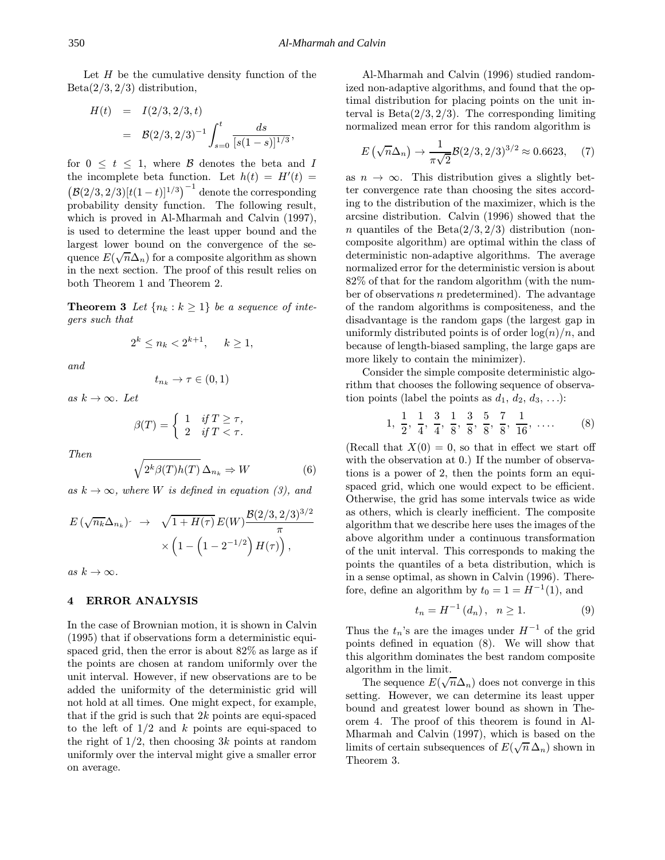Let  $H$  be the cumulative density function of the  $Beta(2/3, 2/3)$  distribution,

$$
H(t) = I(2/3, 2/3, t)
$$
  
=  $\mathcal{B}(2/3, 2/3)^{-1} \int_{s=0}^{t} \frac{ds}{[s(1-s)]^{1/3}},$ 

for  $0 \leq t \leq 1$ , where B denotes the beta and I the incomplete beta function. Let  $h(t) = H'(t) =$  $(\mathcal{B}(2/3, 2/3)[t(1-t)]^{1/3})^{-1}$  denote the corresponding probability density function. The following result, which is proved in Al-Mharmah and Calvin (1997), is used to determine the least upper bound and the largest lower bound on the convergence of the serangest lower bound on the convergence of the sequence  $E(\sqrt{n}\Delta_n)$  for a composite algorithm as shown in the next section. The proof of this result relies on both Theorem 1 and Theorem 2.

**Theorem 3** Let  $\{n_k : k \geq 1\}$  be a sequence of integers such that

$$
2^k \le n_k < 2^{k+1}, \quad k \ge 1,
$$

and

$$
t_{n_k}\to\tau\in(0,1)
$$

as  $k \to \infty$ . Let

$$
\beta(T)=\left\{\begin{array}{ll} 1 & \text{if } T\geq\tau, \\ 2 & \text{if } T<\tau.\end{array}\right.
$$

Then

$$
\sqrt{2^k \beta(T) h(T)} \,\Delta_{n_k} \Rightarrow W \tag{6}
$$

as  $k \to \infty$ , where W is defined in equation (3), and

$$
E(\sqrt{n_k} \Delta_{n_k}) \to \sqrt{1 + H(\tau)} E(W) \frac{\mathcal{B}(2/3, 2/3)^{3/2}}{\pi} \times \left(1 - \left(1 - 2^{-1/2}\right) H(\tau)\right),
$$

as  $k \to \infty$ .

#### 4 ERROR ANALYSIS

In the case of Brownian motion, it is shown in Calvin (1995) that if observations form a deterministic equispaced grid, then the error is about 82% as large as if the points are chosen at random uniformly over the unit interval. However, if new observations are to be added the uniformity of the deterministic grid will not hold at all times. One might expect, for example, that if the grid is such that  $2k$  points are equi-spaced to the left of  $1/2$  and k points are equi-spaced to the right of  $1/2$ , then choosing 3k points at random uniformly over the interval might give a smaller error on average.

Al-Mharmah and Calvin (1996) studied randomized non-adaptive algorithms, and found that the optimal distribution for placing points on the unit interval is  $Beta(2/3, 2/3)$ . The corresponding limiting normalized mean error for this random algorithm is

$$
E(\sqrt{n}\Delta_n) \to \frac{1}{\pi\sqrt{2}} \mathcal{B}(2/3, 2/3)^{3/2} \approx 0.6623, \quad (7)
$$

as  $n \to \infty$ . This distribution gives a slightly better convergence rate than choosing the sites according to the distribution of the maximizer, which is the arcsine distribution. Calvin (1996) showed that the n quantiles of the Beta $(2/3, 2/3)$  distribution (noncomposite algorithm) are optimal within the class of deterministic non-adaptive algorithms. The average normalized error for the deterministic version is about 82% of that for the random algorithm (with the number of observations n predetermined). The advantage of the random algorithms is compositeness, and the disadvantage is the random gaps (the largest gap in uniformly distributed points is of order  $log(n)/n$ , and because of length-biased sampling, the large gaps are more likely to contain the minimizer).

Consider the simple composite deterministic algorithm that chooses the following sequence of observation points (label the points as  $d_1, d_2, d_3, \ldots$ ):

$$
1, \frac{1}{2}, \frac{1}{4}, \frac{3}{4}, \frac{1}{8}, \frac{3}{8}, \frac{5}{8}, \frac{7}{8}, \frac{1}{16}, \dots \tag{8}
$$

(Recall that  $X(0) = 0$ , so that in effect we start off with the observation at 0.) If the number of observations is a power of 2, then the points form an equispaced grid, which one would expect to be efficient. Otherwise, the grid has some intervals twice as wide as others, which is clearly inefficient. The composite algorithm that we describe here uses the images of the above algorithm under a continuous transformation of the unit interval. This corresponds to making the points the quantiles of a beta distribution, which is in a sense optimal, as shown in Calvin (1996). Therefore, define an algorithm by  $t_0 = 1 = H^{-1}(1)$ , and

$$
t_n = H^{-1}(d_n), \quad n \ge 1.
$$
 (9)

Thus the  $t_n$ 's are the images under  $H^{-1}$  of the grid points defined in equation (8). We will show that this algorithm dominates the best random composite algorithm in the limit.

The sequence  $E(\sqrt{n}\Delta_n)$  does not converge in this setting. However, we can determine its least upper bound and greatest lower bound as shown in Theorem 4. The proof of this theorem is found in Al-Mharmah and Calvin (1997), which is based on the limits of certain subsequences of  $E(\sqrt{n}\Delta_n)$  shown in Theorem 3.